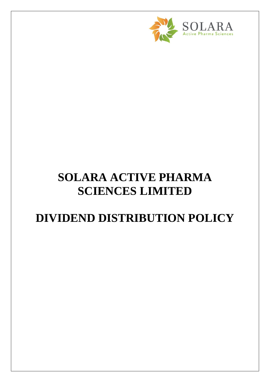

# **SOLARA ACTIVE PHARMA SCIENCES LIMITED**

## **DIVIDEND DISTRIBUTION POLICY**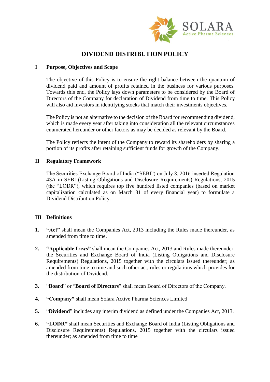

## **DIVIDEND DISTRIBUTION POLICY**

### **I Purpose, Objectives and Scope**

The objective of this Policy is to ensure the right balance between the quantum of dividend paid and amount of profits retained in the business for various purposes. Towards this end, the Policy lays down parameters to be considered by the Board of Directors of the Company for declaration of Dividend from time to time. This Policy will also aid investors in identifying stocks that match their investments objectives.

The Policy is not an alternative to the decision of the Board for recommending dividend, which is made every year after taking into consideration all the relevant circumstances enumerated hereunder or other factors as may be decided as relevant by the Board.

The Policy reflects the intent of the Company to reward its shareholders by sharing a portion of its profits after retaining sufficient funds for growth of the Company.

#### **II Regulatory Framework**

The Securities Exchange Board of India ("SEBI") on July 8, 2016 inserted Regulation 43A in SEBI (Listing Obligations and Disclosure Requirements) Regulations, 2015 (the "LODR"), which requires top five hundred listed companies (based on market capitalization calculated as on March 31 of every financial year) to formulate a Dividend Distribution Policy.

### **III Definitions**

- **1. "Act"** shall mean the Companies Act, 2013 including the Rules made thereunder, as amended from time to time.
- **2. "Applicable Laws"** shall mean the Companies Act, 2013 and Rules made thereunder, the Securities and Exchange Board of India (Listing Obligations and Disclosure Requirements) Regulations, 2015 together with the circulars issued thereunder; as amended from time to time and such other act, rules or regulations which provides for the distribution of Dividend.
- **3.** "**Board**" or "**Board of Directors**" shall mean Board of Directors of the Company.
- **4. "Company"** shall mean Solara Active Pharma Sciences Limited
- **5.** "**Dividend**" includes any interim dividend as defined under the Companies Act, 2013.
- **6. "LODR"** shall mean Securities and Exchange Board of India (Listing Obligations and Disclosure Requirements) Regulations, 2015 together with the circulars issued thereunder; as amended from time to time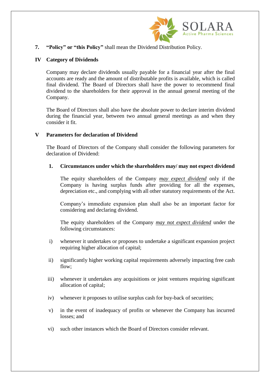

**7. "Policy" or "this Policy"** shall mean the Dividend Distribution Policy.

### **IV Category of Dividends**

Company may declare dividends usually payable for a financial year after the final accounts are ready and the amount of distributable profits is available, which is called final dividend. The Board of Directors shall have the power to recommend final dividend to the shareholders for their approval in the annual general meeting of the Company.

The Board of Directors shall also have the absolute power to declare interim dividend during the financial year, between two annual general meetings as and when they consider it fit.

#### **V Parameters for declaration of Dividend**

The Board of Directors of the Company shall consider the following parameters for declaration of Dividend:

#### **1. Circumstances under which the shareholders may/ may not expect dividend**

The equity shareholders of the Company *may expect dividend* only if the Company is having surplus funds after providing for all the expenses, depreciation etc., and complying with all other statutory requirements of the Act.

Company's immediate expansion plan shall also be an important factor for considering and declaring dividend.

The equity shareholders of the Company *may not expect dividend* under the following circumstances:

- i) whenever it undertakes or proposes to undertake a significant expansion project requiring higher allocation of capital;
- ii) significantly higher working capital requirements adversely impacting free cash flow:
- iii) whenever it undertakes any acquisitions or joint ventures requiring significant allocation of capital;
- iv) whenever it proposes to utilise surplus cash for buy-back of securities;
- v) in the event of inadequacy of profits or whenever the Company has incurred losses; and
- vi) such other instances which the Board of Directors consider relevant.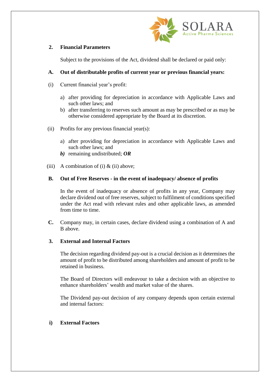

### **2. Financial Parameters**

Subject to the provisions of the Act, dividend shall be declared or paid only:

#### **A. Out of distributable profits of current year or previous financial years:**

- (i) Current financial year's profit:
	- a) after providing for depreciation in accordance with Applicable Laws and such other laws; and
	- b) after transferring to reserves such amount as may be prescribed or as may be otherwise considered appropriate by the Board at its discretion.
- (ii) Profits for any previous financial year(s):
	- a) after providing for depreciation in accordance with Applicable Laws and such other laws; and
	- *b)* remaining undistributed; *OR*
- (iii) A combination of (i)  $&$  (ii) above;

#### **B. Out of Free Reserves - in the event of inadequacy/ absence of profits**

In the event of inadequacy or absence of profits in any year, Company may declare dividend out of free reserves, subject to fulfilment of conditions specified under the Act read with relevant rules and other applicable laws, as amended from time to time.

**C.** Company may, in certain cases, declare dividend using a combination of A and B above.

#### **3. External and Internal Factors**

The decision regarding dividend pay-out is a crucial decision as it determines the amount of profit to be distributed among shareholders and amount of profit to be retained in business.

The Board of Directors will endeavour to take a decision with an objective to enhance shareholders' wealth and market value of the shares.

The Dividend pay-out decision of any company depends upon certain external and internal factors:

#### **i) External Factors**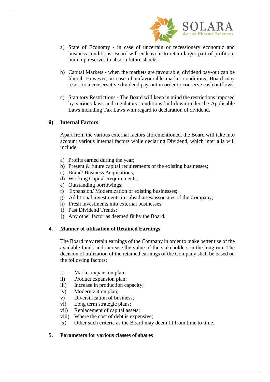

- a) State of Economy in case of uncertain or recessionary economic and business conditions, Board will endeavour to retain larger part of profits to build up reserves to absorb future shocks.
- b) Capital Markets when the markets are favourable, dividend pay-out can be liberal. However, in case of unfavourable market conditions, Board may resort to a conservative dividend pay-out in order to conserve cash outflows.
- c) Statutory Restrictions The Board will keep in mind the restrictions imposed by various laws and regulatory conditions laid down under the Applicable Laws including Tax Laws with regard to declaration of dividend.

#### **ii) Internal Factors**

Apart from the various external factors aforementioned, the Board will take into account various internal factors while declaring Dividend, which inter alia will include:

- a) Profits earned during the year;
- b) Present & future capital requirements of the existing businesses;
- c) Brand/ Business Acquisitions;
- d) Working Capital Requirements;
- e) Outstanding borrowings;
- f) Expansion/ Modernization of existing businesses;
- g) Additional investments in subsidiaries/associates of the Company;
- h) Fresh investments into external businesses;
- i) Past Dividend Trends;
- j) Any other factor as deemed fit by the Board.

#### **4**. **Manner of utilisation of Retained Earnings**

The Board may retain earnings of the Company in order to make better use of the available funds and increase the value of the stakeholders in the long run. The decision of utilization of the retained earnings of the Company shall be based on the following factors:

- i) Market expansion plan;
- ii) Product expansion plan;
- iii) Increase in production capacity;
- iv) Modernization plan;
- v) Diversification of business;
- vi) Long term strategic plans;
- vii) Replacement of capital assets;
- viii) Where the cost of debt is expensive;
- ix) Other such criteria as the Board may deem fit from time to time.

#### **5. Parameters for various classes of shares**